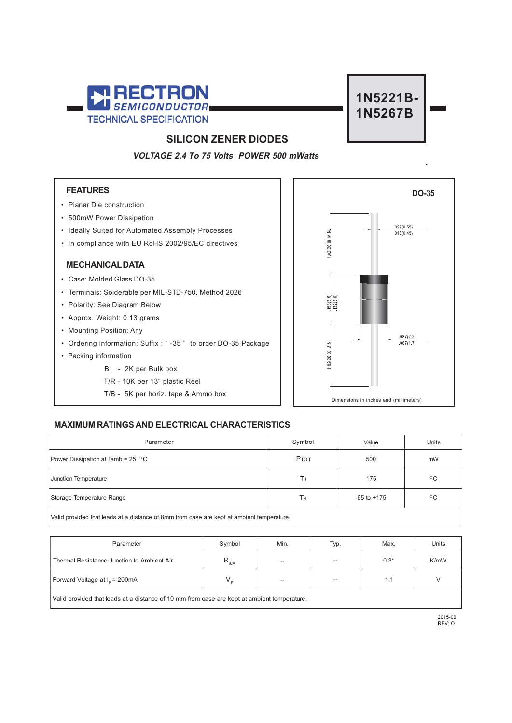



## **SILICON ZENER DIODES**

**VOLTAGE 2.4 To 75 Volts POWER 500 mWatts**

### **FEATURES**

- Planar Die construction
- 500mW Power Dissipation
- Ideally Suited for Automated Assembly Processes
- In compliance with EU RoHS 2002/95/EC directives

#### **MECHANICAL DATA**

- Case: Molded Glass DO-35
- Terminals: Solderable per MIL-STD-750, Method 2026
- Polarity: See Diagram Below
- Approx. Weight: 0.13 grams
- Mounting Position: Any
- Ordering information: Suffix : " -35 " to order DO-35 Package
- Packing information
	- B 2K per Bulk box
	- T/R 10K per 13" plastic Reel
	- T/B 5K per horiz. tape & Ammo box



### **MAXIMUM RATINGS AND ELECTRICAL CHARACTERISTICS**

| Parameter                                                                                 | Symbol | Value           | Units        |  |  |  |  |
|-------------------------------------------------------------------------------------------|--------|-----------------|--------------|--|--|--|--|
| Power Dissipation at Tamb = $25\degree$ C                                                 | Ртот   | 500             | mW           |  |  |  |  |
| Junction Temperature                                                                      | TJ     | 175             | $^{\circ}$ C |  |  |  |  |
| Storage Temperature Range                                                                 | Ts     | $-65$ to $+175$ | $^{\circ}$ C |  |  |  |  |
| Valid provided that leads at a distance of 8mm from case are kept at ambient temperature. |        |                 |              |  |  |  |  |

P l arameter S . ymbo M . in T . yp M s ax Unit Thermal Resistance Junction to Ambient Air  $R_{\text{AIA}}$  --  $\qquad$  -- 0.3\* K/mW Forward Voltage at  $I<sub>F</sub> = 200mA$ <sup>F</sup> = 200mA VF -- -- 1 V .1

Valid provided that leads at a distance of 10 mm from case are kept at ambient temperature.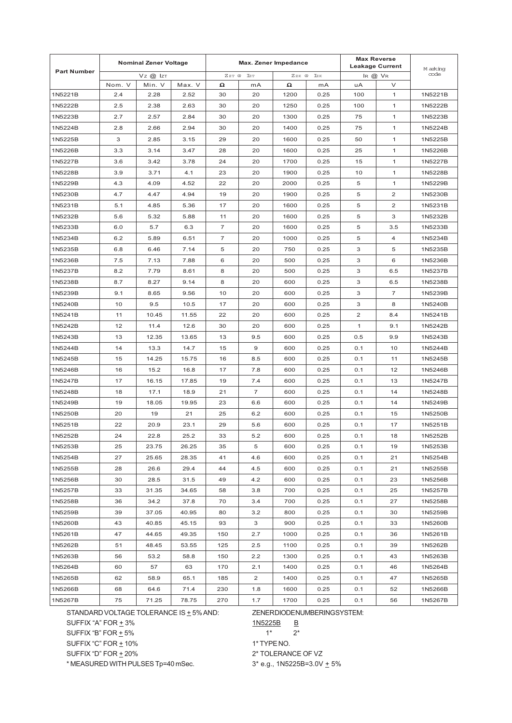|                    | <b>Nominal Zener Voltage</b> |        |        | Max. Zener Impedance |                |         |      | <b>Max Reverse</b><br><b>Leakage Current</b> |                | M arking |
|--------------------|------------------------------|--------|--------|----------------------|----------------|---------|------|----------------------------------------------|----------------|----------|
| <b>Part Number</b> | $Vz$ @ $Iz$                  |        |        | ZZT @ IZT            |                | $ZzK$ @ | Izk  | IR $@$ $V_R$                                 |                | code     |
|                    | Nom. V                       | Min. V | Max. V | Ω                    | mA             | Ω       | mA   | uA                                           | V              |          |
| 1N5221B            | 2.4                          | 2.28   | 2.52   | 30                   | 20             | 1200    | 0.25 | 100                                          | 1              | 1N5221B  |
| 1N5222B            | 2.5                          | 2.38   | 2.63   | 30                   | 20             | 1250    | 0.25 | 100                                          | 1              | 1N5222B  |
| 1N5223B            | 2.7                          | 2.57   | 2.84   | 30                   | 20             | 1300    | 0.25 | 75                                           | 1              | 1N5223B  |
| 1N5224B            | 2.8                          | 2.66   | 2.94   | 30                   | 20             | 1400    | 0.25 | 75                                           | 1              | 1N5224B  |
| 1N5225B            | 3                            | 2.85   | 3.15   | 29                   | 20             | 1600    | 0.25 | 50                                           | $\mathbf{1}$   | 1N5225B  |
| 1N5226B            | 3.3                          | 3.14   | 3.47   | 28                   | 20             | 1600    | 0.25 | 25                                           | $\mathbf{1}$   | 1N5226B  |
| 1N5227B            | 3.6                          | 3.42   | 3.78   | 24                   | 20             | 1700    | 0.25 | 15                                           | 1              | 1N5227B  |
| 1N5228B            | 3.9                          | 3.71   | 4.1    | 23                   | 20             | 1900    | 0.25 | 10                                           | 1              | 1N5228B  |
| 1N5229B            | 4.3                          | 4.09   | 4.52   | 22                   | 20             | 2000    | 0.25 | 5                                            | 1              | 1N5229B  |
| 1N5230B            | 4.7                          | 4.47   | 4.94   | 19                   | 20             | 1900    | 0.25 | 5                                            | 2              | 1N5230B  |
| 1N5231B            | 5.1                          | 4.85   | 5.36   | 17                   | 20             | 1600    | 0.25 | 5                                            | 2              | 1N5231B  |
| 1N5232B            | 5.6                          | 5.32   | 5.88   | 11                   | 20             | 1600    | 0.25 | 5                                            | 3              | 1N5232B  |
| 1N5233B            | 6.0                          | 5.7    | 6.3    | 7                    | 20             | 1600    | 0.25 | 5                                            | 3.5            | 1N5233B  |
| 1N5234B            | 6.2                          | 5.89   | 6.51   | $\overline{7}$       | 20             | 1000    | 0.25 | 5                                            | 4              | 1N5234B  |
| 1N5235B            | 6.8                          | 6.46   | 7.14   | 5                    | 20             | 750     | 0.25 | 3                                            | 5              | 1N5235B  |
| 1N5236B            | 7.5                          | 7.13   | 7.88   | 6                    | 20             | 500     | 0.25 | 3                                            | 6              | 1N5236B  |
| 1N5237B            | 8.2                          | 7.79   | 8.61   | 8                    | 20             | 500     | 0.25 | 3                                            | 6.5            | 1N5237B  |
| 1N5238B            | 8.7                          | 8.27   | 9.14   | 8                    | 20             | 600     | 0.25 | 3                                            | 6.5            | 1N5238B  |
| 1N5239B            | 9.1                          | 8.65   | 9.56   | 10                   | 20             | 600     | 0.25 | 3                                            | $\overline{7}$ | 1N5239B  |
| 1N5240B            | 10                           | 9.5    | 10.5   | 17                   | 20             | 600     | 0.25 | 3                                            | 8              | 1N5240B  |
| 1N5241B            | 11                           | 10.45  | 11.55  | 22                   | 20             | 600     | 0.25 | 2                                            | 8.4            | 1N5241B  |
| 1N5242B            | 12                           | 11.4   | 12.6   | 30                   | 20             | 600     | 0.25 | $\mathbf{1}$                                 | 9.1            | 1N5242B  |
| 1N5243B            | 13                           | 12.35  | 13.65  | 13                   | 9.5            | 600     | 0.25 | 0.5                                          | 9.9            | 1N5243B  |
| 1N5244B            | 14                           | 13.3   | 14.7   | 15                   | 9              | 600     | 0.25 | 0.1                                          | 10             | 1N5244B  |
| 1N5245B            | 15                           | 14.25  | 15.75  | 16                   | 8.5            | 600     | 0.25 | 0.1                                          | 11             | 1N5245B  |
| 1N5246B            | 16                           | 15.2   | 16.8   | 17                   | 7.8            | 600     | 0.25 | 0.1                                          | 12             | 1N5246B  |
| 1N5247B            | 17                           | 16.15  | 17.85  | 19                   | 7.4            | 600     | 0.25 | 0.1                                          | 13             | 1N5247B  |
| 1N5248B            | 18                           | 17.1   | 18.9   | 21                   | $\overline{7}$ | 600     | 0.25 | 0.1                                          | 14             | 1N5248B  |
| 1N5249B            | 19                           | 18.05  | 19.95  | 23                   | 6.6            | 600     | 0.25 | 0.1                                          | 14             | 1N5249B  |
| 1N5250B            | 20                           | 19     | 21     | 25                   | 6.2            | 600     | 0.25 | 0.1                                          | 15             | 1N5250B  |
| 1N5251B            | 22                           | 20.9   | 23.1   | 29                   | 5.6            | 600     | 0.25 | 0.1                                          | 17             | 1N5251B  |
| 1N5252B            | 24                           | 22.8   | 25.2   | 33                   | 5.2            | 600     | 0.25 | 0.1                                          | 18             | 1N5252B  |
| 1N5253B            | 25                           | 23.75  | 26.25  | 35                   | 5              | 600     | 0.25 | 0.1                                          | 19             | 1N5253B  |
| 1N5254B            | 27                           | 25.65  | 28.35  | 41                   | 4.6            | 600     | 0.25 | 0.1                                          | 21             | 1N5254B  |
| 1N5255B            | 28                           | 26.6   | 29.4   | 44                   | 4.5            | 600     | 0.25 | 0.1                                          | 21             | 1N5255B  |
| 1N5256B            | 30                           | 28.5   | 31.5   | 49                   | 4.2            | 600     | 0.25 | 0.1                                          | 23             | 1N5256B  |
| 1N5257B            | 33                           | 31.35  | 34.65  | 58                   | 3.8            | 700     | 0.25 | 0.1                                          | 25             | 1N5257B  |
| 1N5258B            | 36                           | 34.2   | 37.8   | 70                   | 3.4            | 700     | 0.25 | 0.1                                          | 27             | 1N5258B  |
| 1N5259B            | 39                           | 37.05  | 40.95  | 80                   | 3.2            | 800     | 0.25 | 0.1                                          | 30             | 1N5259B  |
| 1N5260B            | 43                           | 40.85  | 45.15  | 93                   | 3              | 900     | 0.25 | 0.1                                          | 33             | 1N5260B  |
| 1N5261B            | 47                           | 44.65  | 49.35  | 150                  | 2.7            | 1000    | 0.25 | 0.1                                          | 36             | 1N5261B  |
| 1N5262B            | 51                           | 48.45  | 53.55  | 125                  | 2.5            | 1100    | 0.25 | 0.1                                          | 39             | 1N5262B  |
| 1N5263B            | 56                           | 53.2   | 58.8   | 150                  | 2.2            | 1300    | 0.25 | 0.1                                          | 43             | 1N5263B  |
| 1N5264B            | 60                           | 57     | 63     | 170                  | 2.1            | 1400    | 0.25 | 0.1                                          | 46             | 1N5264B  |
| 1N5265B            | 62                           | 58.9   | 65.1   | 185                  | $\overline{2}$ | 1400    | 0.25 | 0.1                                          | 47             | 1N5265B  |
| 1N5266B            | 68                           | 64.6   | 71.4   | 230                  | 1.8            | 1600    | 0.25 | 0.1                                          | 52             | 1N5266B  |
| 1N5267B            | 75                           | 71.25  | 78.75  | 270                  | 1.7            | 1700    | 0.25 | 0.1                                          | 56             | 1N5267B  |

STANDARD VOLTAGE TOLERANCE IS  $\pm$  5% AND:

SUFFIX "A" FOR  $\pm$  3%

SUFFIX "B" FOR  $\pm$  5%

SUFFIX "C" FOR  $\pm$  10%

SUFFIX "D" FOR  $\pm$  20%

\* MEASURED WITH PULSES Tp=40 mSec.

ZENER DIODE NUMBERING SYSTEM:

1N5225B B

 $1^*$  2<sup>\*</sup>

1\* TYPE NO.

2\* TOLERANCE OF VZ

 $3*$  e.g., 1N5225B=3.0V  $\pm$  5%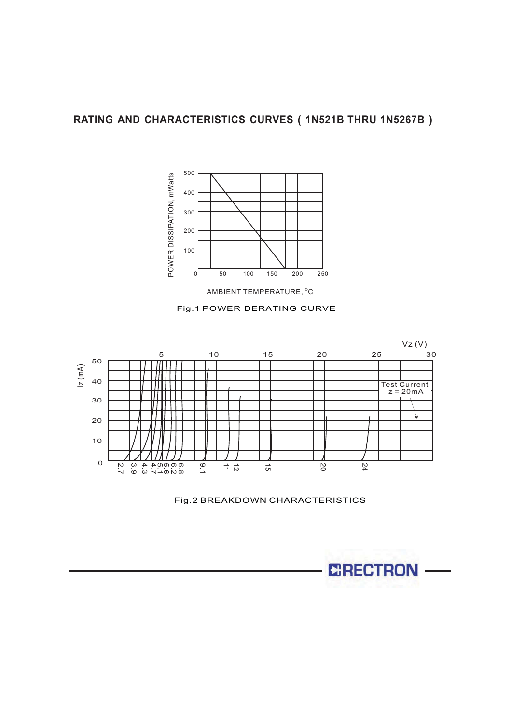







Fig.2 BREAKDOWN CHARACTERISTICS

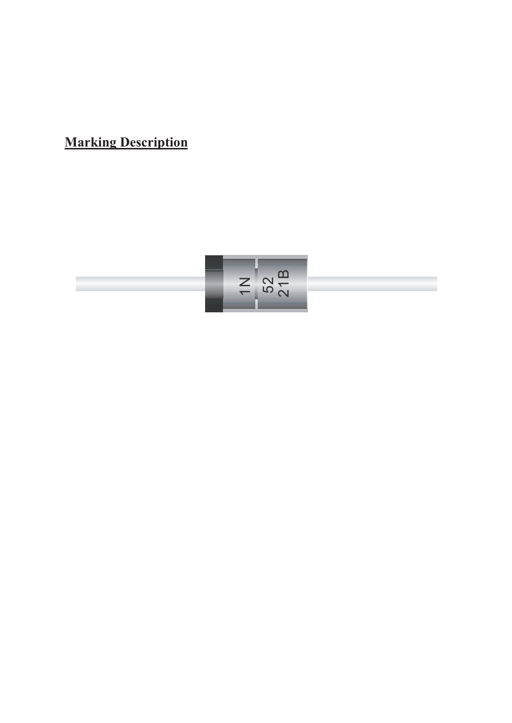**Marking Description**

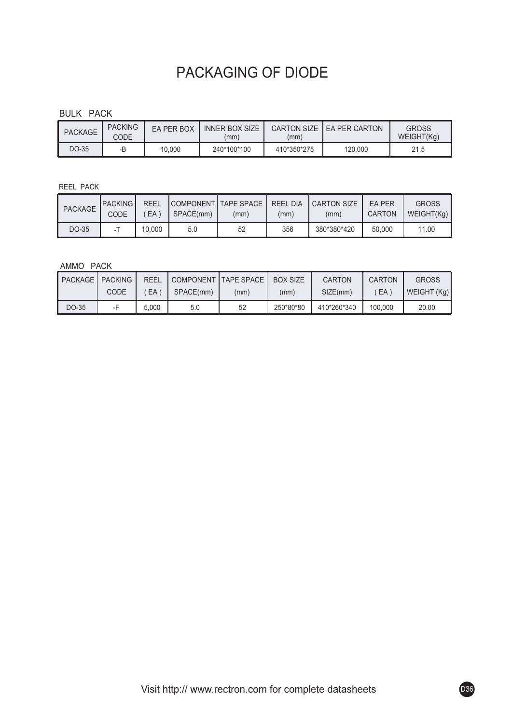# PACKAGING OF DIODE

### BULK PACK

| <b>PACKAGE</b> | <b>PACKING</b><br>CODE | FA PFR BOX | <b>INNER BOX SIZE</b><br>(mm) | <b>CARTON SIZE I</b><br>(mm) | <b>FA PFR CARTON</b> | <b>GROSS</b><br>WEIGHT(Kg) |
|----------------|------------------------|------------|-------------------------------|------------------------------|----------------------|----------------------------|
| DO-35          | D<br>-0                | 10.000     | 240*100*100                   | 410*350*275                  | 120.000              | 21.5                       |

### REEL PACK

| PACKAGE | <b>IPACKING</b><br>CODE | <b>REEL</b><br>EA <sup>'</sup> | SPACE(mm) | COMPONENT TAPE SPACE I<br>(mm) | <b>REEL DIA</b><br>(mm) | <b>CARTON SIZE</b><br>(mm) | <b>FA PFR</b><br>CARTON | <b>GROSS</b><br>WEIGHT(Kg) |
|---------|-------------------------|--------------------------------|-----------|--------------------------------|-------------------------|----------------------------|-------------------------|----------------------------|
| DO-35   |                         | 10.000                         | 5.0       | 52                             | 356                     | 380*380*420                | 50,000                  | 11.00                      |

### AMMO PACK

| <b>PACKAGE   PACKING</b> |      | <b>REEL</b> | COMPONENT TAPE SPACE |      | <b>BOX SIZE</b> | <b>CARTON</b> | <b>CARTON</b> | <b>GROSS</b> |
|--------------------------|------|-------------|----------------------|------|-----------------|---------------|---------------|--------------|
|                          | CODE | EA 1        | SPACE(mm)            | (mm) | (mm)            | SIZE(mm)      | EA            | WEIGHT (Kg)  |
| DO-35                    |      | 5.000       | 5.0                  | 52   | 250*80*80       | 410*260*340   | 100.000       | 20.00        |